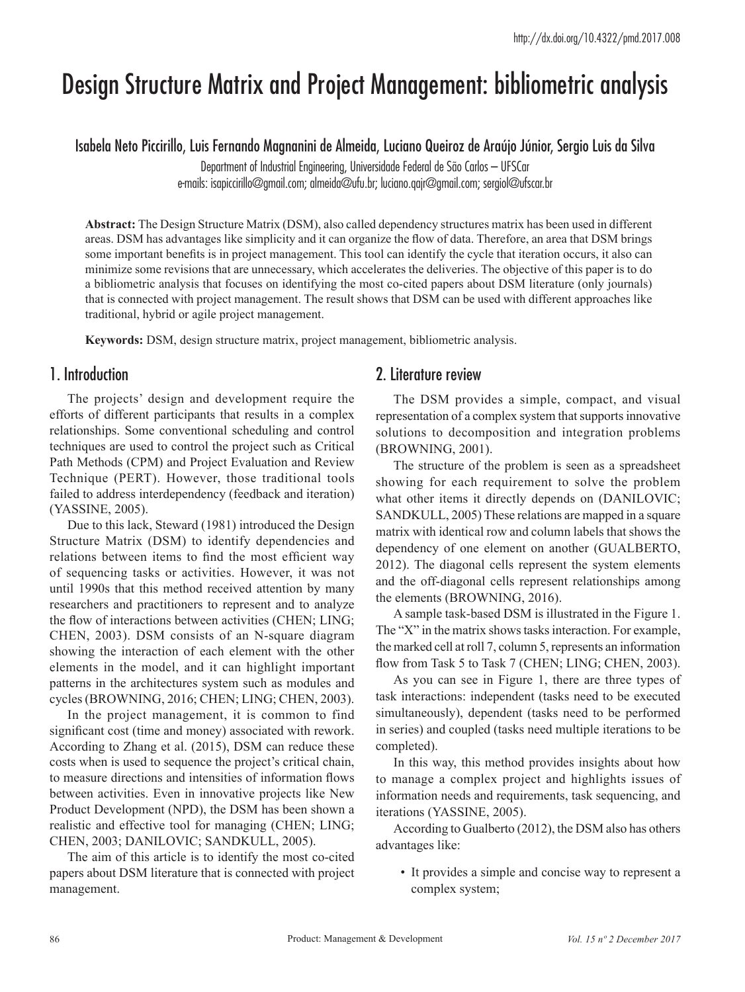# Design Structure Matrix and Project Management: bibliometric analysis

Isabela Neto Piccirillo, Luis Fernando Magnanini de Almeida, Luciano Queiroz de Araújo Júnior, Sergio Luis da Silva

Department of Industrial Engineering, Universidade Federal de São Carlos – UFSCar

e-mails: isapiccirillo@gmail.com; almeida@ufu.br; luciano.qajr@gmail.com; sergiol@ufscar.br

**Abstract:** The Design Structure Matrix (DSM), also called dependency structures matrix has been used in different areas. DSM has advantages like simplicity and it can organize the flow of data. Therefore, an area that DSM brings some important benefits is in project management. This tool can identify the cycle that iteration occurs, it also can minimize some revisions that are unnecessary, which accelerates the deliveries. The objective of this paper is to do a bibliometric analysis that focuses on identifying the most co-cited papers about DSM literature (only journals) that is connected with project management. The result shows that DSM can be used with different approaches like traditional, hybrid or agile project management.

**Keywords:** DSM, design structure matrix, project management, bibliometric analysis.

## 1. Introduction

The projects' design and development require the efforts of different participants that results in a complex relationships. Some conventional scheduling and control techniques are used to control the project such as Critical Path Methods (CPM) and Project Evaluation and Review Technique (PERT). However, those traditional tools failed to address interdependency (feedback and iteration) (YASSINE, 2005).

Due to this lack, Steward (1981) introduced the Design Structure Matrix (DSM) to identify dependencies and relations between items to find the most efficient way of sequencing tasks or activities. However, it was not until 1990s that this method received attention by many researchers and practitioners to represent and to analyze the flow of interactions between activities (CHEN; LING; CHEN, 2003). DSM consists of an N-square diagram showing the interaction of each element with the other elements in the model, and it can highlight important patterns in the architectures system such as modules and cycles (BROWNING, 2016; CHEN; LING; CHEN, 2003).

In the project management, it is common to find significant cost (time and money) associated with rework. According to Zhang et al. (2015), DSM can reduce these costs when is used to sequence the project's critical chain, to measure directions and intensities of information flows between activities. Even in innovative projects like New Product Development (NPD), the DSM has been shown a realistic and effective tool for managing (CHEN; LING; CHEN, 2003; DANILOVIC; SANDKULL, 2005).

The aim of this article is to identify the most co-cited papers about DSM literature that is connected with project management.

### 2. Literature review

The DSM provides a simple, compact, and visual representation of a complex system that supports innovative solutions to decomposition and integration problems (BROWNING, 2001).

The structure of the problem is seen as a spreadsheet showing for each requirement to solve the problem what other items it directly depends on (DANILOVIC; SANDKULL, 2005) These relations are mapped in a square matrix with identical row and column labels that shows the dependency of one element on another (GUALBERTO, 2012). The diagonal cells represent the system elements and the off-diagonal cells represent relationships among the elements (BROWNING, 2016).

A sample task-based DSM is illustrated in the Figure 1. The "X" in the matrix shows tasks interaction. For example, the marked cell at roll 7, column 5, represents an information flow from Task 5 to Task 7 (CHEN; LING; CHEN, 2003).

As you can see in Figure 1, there are three types of task interactions: independent (tasks need to be executed simultaneously), dependent (tasks need to be performed in series) and coupled (tasks need multiple iterations to be completed).

In this way, this method provides insights about how to manage a complex project and highlights issues of information needs and requirements, task sequencing, and iterations (YASSINE, 2005).

According to Gualberto (2012), the DSM also has others advantages like:

• It provides a simple and concise way to represent a complex system;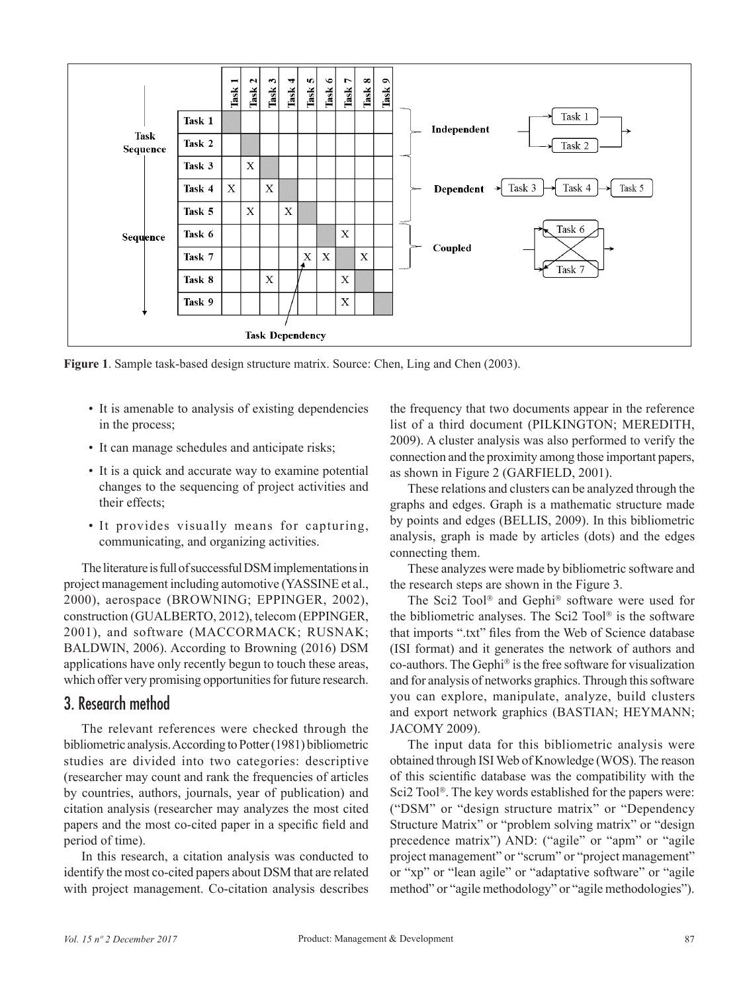

**Figure 1**. Sample task-based design structure matrix. Source: Chen, Ling and Chen (2003).

- It is amenable to analysis of existing dependencies in the process;
- It can manage schedules and anticipate risks;
- It is a quick and accurate way to examine potential changes to the sequencing of project activities and their effects;
- It provides visually means for capturing, communicating, and organizing activities.

The literature is full of successful DSM implementations in project management including automotive (YASSINE et al., 2000), aerospace (BROWNING; EPPINGER, 2002), construction (GUALBERTO, 2012), telecom (EPPINGER, 2001), and software (MACCORMACK; RUSNAK; BALDWIN, 2006). According to Browning (2016) DSM applications have only recently begun to touch these areas, which offer very promising opportunities for future research.

### 3. Research method

The relevant references were checked through the bibliometric analysis. According to Potter (1981) bibliometric studies are divided into two categories: descriptive (researcher may count and rank the frequencies of articles by countries, authors, journals, year of publication) and citation analysis (researcher may analyzes the most cited papers and the most co-cited paper in a specific field and period of time).

In this research, a citation analysis was conducted to identify the most co-cited papers about DSM that are related with project management. Co-citation analysis describes the frequency that two documents appear in the reference list of a third document (PILKINGTON; MEREDITH, 2009). A cluster analysis was also performed to verify the connection and the proximity among those important papers, as shown in Figure 2 (GARFIELD, 2001).

These relations and clusters can be analyzed through the graphs and edges. Graph is a mathematic structure made by points and edges (BELLIS, 2009). In this bibliometric analysis, graph is made by articles (dots) and the edges connecting them.

These analyzes were made by bibliometric software and the research steps are shown in the Figure 3.

The Sci2 Tool<sup>®</sup> and Gephi<sup>®</sup> software were used for the bibliometric analyses. The Sci2 Tool<sup>®</sup> is the software that imports ".txt" files from the Web of Science database (ISI format) and it generates the network of authors and co-authors. The Gephi<sup>®</sup> is the free software for visualization and for analysis of networks graphics. Through this software you can explore, manipulate, analyze, build clusters and export network graphics (BASTIAN; HEYMANN; JACOMY 2009).

The input data for this bibliometric analysis were obtained through ISI Web of Knowledge (WOS). The reason of this scientific database was the compatibility with the Sci2 Tool<sup>®</sup>. The key words established for the papers were: ("DSM" or "design structure matrix" or "Dependency Structure Matrix" or "problem solving matrix" or "design precedence matrix") AND: ("agile" or "apm" or "agile project management" or "scrum" or "project management" or "xp" or "lean agile" or "adaptative software" or "agile method" or "agile methodology" or "agile methodologies").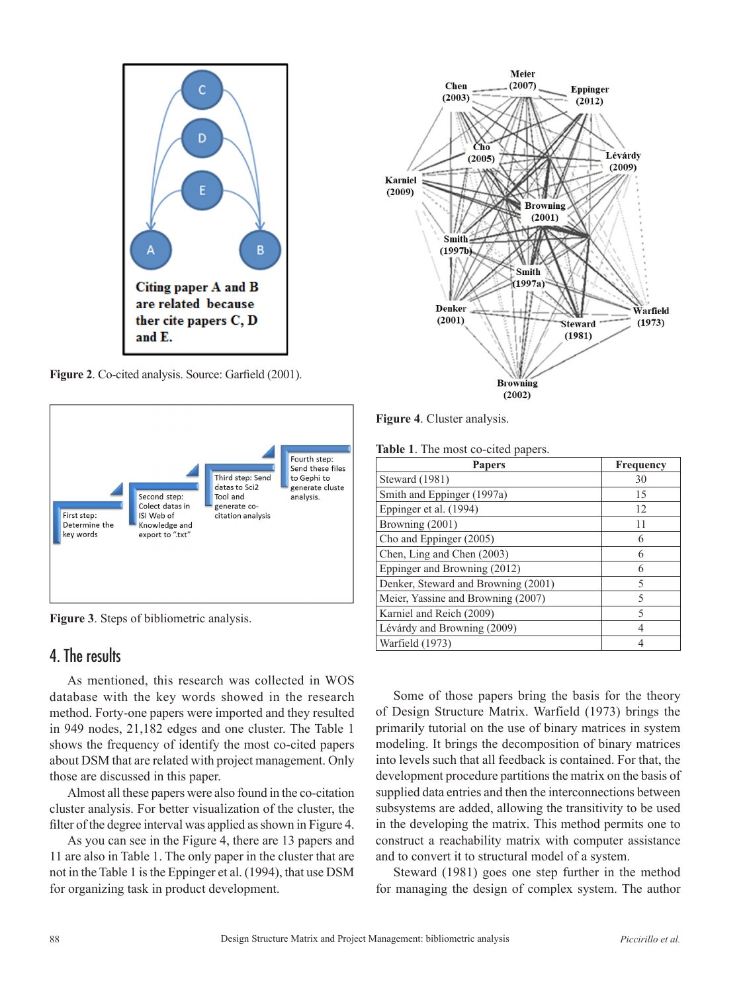

**Figure 2**. Co-cited analysis. Source: Garfield (2001).



**Figure 3**. Steps of bibliometric analysis.

# 4. The results

As mentioned, this research was collected in WOS database with the key words showed in the research method. Forty-one papers were imported and they resulted in 949 nodes, 21,182 edges and one cluster. The Table 1 shows the frequency of identify the most co-cited papers about DSM that are related with project management. Only those are discussed in this paper.

Almost all these papers were also found in the co-citation cluster analysis. For better visualization of the cluster, the filter of the degree interval was applied as shown in Figure 4.

As you can see in the Figure 4, there are 13 papers and 11 are also in Table 1. The only paper in the cluster that are not in the Table 1 is the Eppinger et al. (1994), that use DSM for organizing task in product development.



**Figure 4**. Cluster analysis.

|  |  |  | Table 1. The most co-cited papers. |  |
|--|--|--|------------------------------------|--|
|--|--|--|------------------------------------|--|

| <b>Papers</b>                       | Frequency |
|-------------------------------------|-----------|
| Steward (1981)                      | 30        |
| Smith and Eppinger (1997a)          | 15        |
| Eppinger et al. (1994)              | 12        |
| Browning (2001)                     | 11        |
| Cho and Eppinger (2005)             | 6         |
| Chen, Ling and Chen (2003)          |           |
| Eppinger and Browning (2012)        | 6         |
| Denker, Steward and Browning (2001) | 5         |
| Meier, Yassine and Browning (2007)  | 5         |
| Karniel and Reich (2009)            | 5         |
| Lévárdy and Browning (2009)         |           |
| Warfield (1973)                     |           |

Some of those papers bring the basis for the theory of Design Structure Matrix. Warfield (1973) brings the primarily tutorial on the use of binary matrices in system modeling. It brings the decomposition of binary matrices into levels such that all feedback is contained. For that, the development procedure partitions the matrix on the basis of supplied data entries and then the interconnections between subsystems are added, allowing the transitivity to be used in the developing the matrix. This method permits one to construct a reachability matrix with computer assistance and to convert it to structural model of a system.

Steward (1981) goes one step further in the method for managing the design of complex system. The author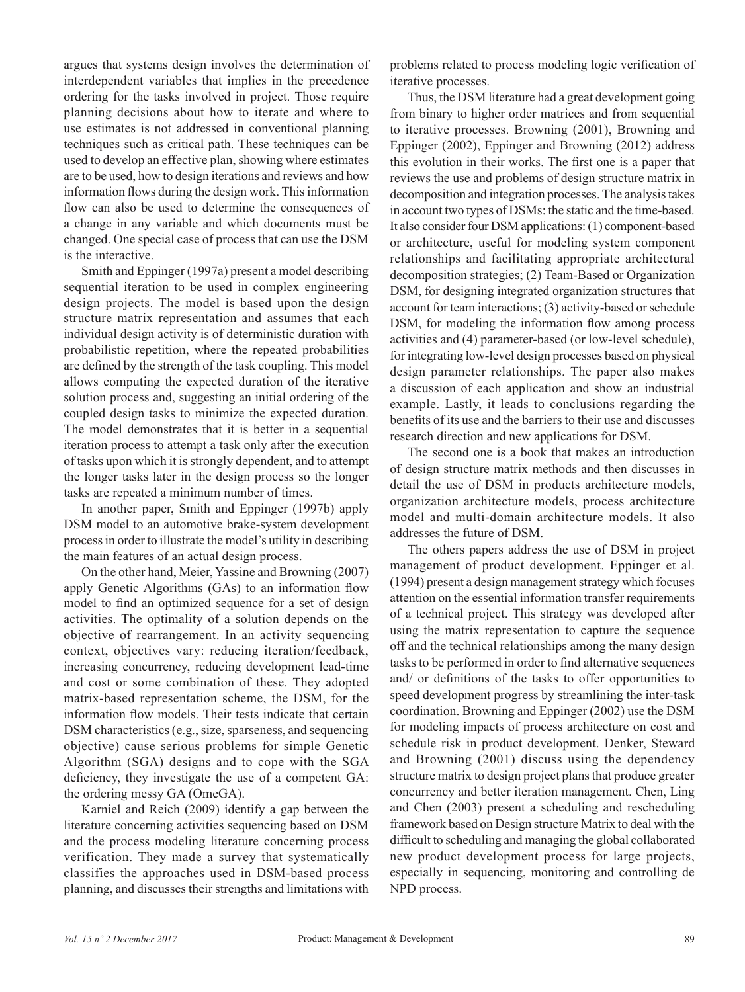argues that systems design involves the determination of interdependent variables that implies in the precedence ordering for the tasks involved in project. Those require planning decisions about how to iterate and where to use estimates is not addressed in conventional planning techniques such as critical path. These techniques can be used to develop an effective plan, showing where estimates are to be used, how to design iterations and reviews and how information flows during the design work. This information flow can also be used to determine the consequences of a change in any variable and which documents must be changed. One special case of process that can use the DSM is the interactive.

Smith and Eppinger (1997a) present a model describing sequential iteration to be used in complex engineering design projects. The model is based upon the design structure matrix representation and assumes that each individual design activity is of deterministic duration with probabilistic repetition, where the repeated probabilities are defined by the strength of the task coupling. This model allows computing the expected duration of the iterative solution process and, suggesting an initial ordering of the coupled design tasks to minimize the expected duration. The model demonstrates that it is better in a sequential iteration process to attempt a task only after the execution of tasks upon which it is strongly dependent, and to attempt the longer tasks later in the design process so the longer tasks are repeated a minimum number of times.

In another paper, Smith and Eppinger (1997b) apply DSM model to an automotive brake-system development process in order to illustrate the model's utility in describing the main features of an actual design process.

On the other hand, Meier, Yassine and Browning (2007) apply Genetic Algorithms (GAs) to an information flow model to find an optimized sequence for a set of design activities. The optimality of a solution depends on the objective of rearrangement. In an activity sequencing context, objectives vary: reducing iteration/feedback, increasing concurrency, reducing development lead-time and cost or some combination of these. They adopted matrix-based representation scheme, the DSM, for the information flow models. Their tests indicate that certain DSM characteristics (e.g., size, sparseness, and sequencing objective) cause serious problems for simple Genetic Algorithm (SGA) designs and to cope with the SGA deficiency, they investigate the use of a competent GA: the ordering messy GA (OmeGA).

Karniel and Reich (2009) identify a gap between the literature concerning activities sequencing based on DSM and the process modeling literature concerning process verification. They made a survey that systematically classifies the approaches used in DSM-based process planning, and discusses their strengths and limitations with

problems related to process modeling logic verification of iterative processes.

Thus, the DSM literature had a great development going from binary to higher order matrices and from sequential to iterative processes. Browning (2001), Browning and Eppinger (2002), Eppinger and Browning (2012) address this evolution in their works. The first one is a paper that reviews the use and problems of design structure matrix in decomposition and integration processes. The analysis takes in account two types of DSMs: the static and the time-based. It also consider four DSM applications: (1) component-based or architecture, useful for modeling system component relationships and facilitating appropriate architectural decomposition strategies; (2) Team-Based or Organization DSM, for designing integrated organization structures that account for team interactions; (3) activity-based or schedule DSM, for modeling the information flow among process activities and (4) parameter-based (or low-level schedule), for integrating low-level design processes based on physical design parameter relationships. The paper also makes a discussion of each application and show an industrial example. Lastly, it leads to conclusions regarding the benefits of its use and the barriers to their use and discusses research direction and new applications for DSM.

The second one is a book that makes an introduction of design structure matrix methods and then discusses in detail the use of DSM in products architecture models, organization architecture models, process architecture model and multi-domain architecture models. It also addresses the future of DSM.

The others papers address the use of DSM in project management of product development. Eppinger et al. (1994) present a design management strategy which focuses attention on the essential information transfer requirements of a technical project. This strategy was developed after using the matrix representation to capture the sequence off and the technical relationships among the many design tasks to be performed in order to find alternative sequences and/ or definitions of the tasks to offer opportunities to speed development progress by streamlining the inter-task coordination. Browning and Eppinger (2002) use the DSM for modeling impacts of process architecture on cost and schedule risk in product development. Denker, Steward and Browning (2001) discuss using the dependency structure matrix to design project plans that produce greater concurrency and better iteration management. Chen, Ling and Chen (2003) present a scheduling and rescheduling framework based on Design structure Matrix to deal with the difficult to scheduling and managing the global collaborated new product development process for large projects, especially in sequencing, monitoring and controlling de NPD process.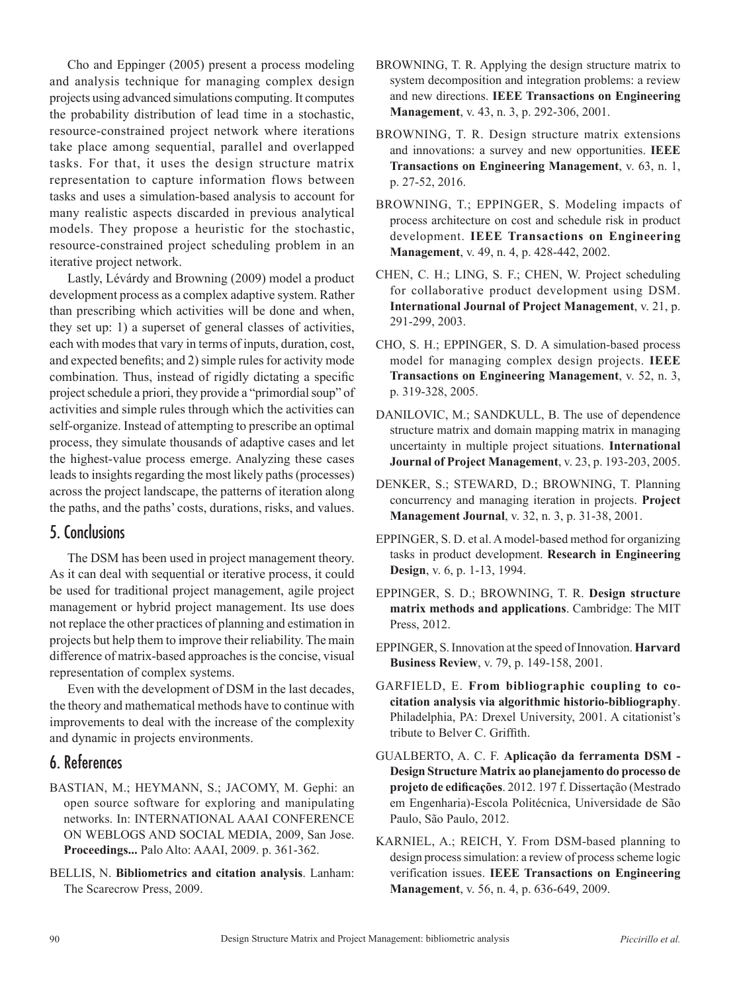Cho and Eppinger (2005) present a process modeling and analysis technique for managing complex design projects using advanced simulations computing. It computes the probability distribution of lead time in a stochastic, resource‑constrained project network where iterations take place among sequential, parallel and overlapped tasks. For that, it uses the design structure matrix representation to capture information flows between tasks and uses a simulation-based analysis to account for many realistic aspects discarded in previous analytical models. They propose a heuristic for the stochastic, resource‑constrained project scheduling problem in an iterative project network.

Lastly, Lévárdy and Browning (2009) model a product development process as a complex adaptive system. Rather than prescribing which activities will be done and when, they set up: 1) a superset of general classes of activities, each with modes that vary in terms of inputs, duration, cost, and expected benefits; and 2) simple rules for activity mode combination. Thus, instead of rigidly dictating a specific project schedule a priori, they provide a "primordial soup" of activities and simple rules through which the activities can self-organize. Instead of attempting to prescribe an optimal process, they simulate thousands of adaptive cases and let the highest-value process emerge. Analyzing these cases leads to insights regarding the most likely paths (processes) across the project landscape, the patterns of iteration along the paths, and the paths' costs, durations, risks, and values.

#### 5. Conclusions

The DSM has been used in project management theory. As it can deal with sequential or iterative process, it could be used for traditional project management, agile project management or hybrid project management. Its use does not replace the other practices of planning and estimation in projects but help them to improve their reliability. The main difference of matrix-based approaches is the concise, visual representation of complex systems.

Even with the development of DSM in the last decades, the theory and mathematical methods have to continue with improvements to deal with the increase of the complexity and dynamic in projects environments.

### 6. References

- BASTIAN, M.; HEYMANN, S.; JACOMY, M. Gephi: an open source software for exploring and manipulating networks. In: INTERNATIONAL AAAI CONFERENCE ON WEBLOGS AND SOCIAL MEDIA, 2009, San Jose. **Proceedings...** Palo Alto: AAAI, 2009. p. 361-362.
- BELLIS, N. **Bibliometrics and citation analysis**. Lanham: The Scarecrow Press, 2009.
- BROWNING, T. R. Applying the design structure matrix to system decomposition and integration problems: a review and new directions. **IEEE Transactions on Engineering Management**, v. 43, n. 3, p. 292-306, 2001.
- BROWNING, T. R. Design structure matrix extensions and innovations: a survey and new opportunities. **IEEE Transactions on Engineering Management**, v. 63, n. 1, p. 27-52, 2016.
- BROWNING, T.; EPPINGER, S. Modeling impacts of process architecture on cost and schedule risk in product development. **IEEE Transactions on Engineering Management**, v. 49, n. 4, p. 428-442, 2002.
- CHEN, C. H.; LING, S. F.; CHEN, W. Project scheduling for collaborative product development using DSM. **International Journal of Project Management**, v. 21, p. 291-299, 2003.
- CHO, S. H.; EPPINGER, S. D. A simulation-based process model for managing complex design projects. **IEEE Transactions on Engineering Management**, v. 52, n. 3, p. 319-328, 2005.
- DANILOVIC, M.; SANDKULL, B. The use of dependence structure matrix and domain mapping matrix in managing uncertainty in multiple project situations. **International Journal of Project Management**, v. 23, p. 193-203, 2005.
- DENKER, S.; STEWARD, D.; BROWNING, T. Planning concurrency and managing iteration in projects. **Project Management Journal**, v. 32, n. 3, p. 31-38, 2001.
- EPPINGER, S. D. et al. A model-based method for organizing tasks in product development. **Research in Engineering Design**, v. 6, p. 1-13, 1994.
- EPPINGER, S. D.; BROWNING, T. R. **Design structure matrix methods and applications**. Cambridge: The MIT Press, 2012.
- EPPINGER, S. Innovation at the speed of Innovation. **Harvard Business Review**, v. 79, p. 149-158, 2001.
- GARFIELD, E. **From bibliographic coupling to cocitation analysis via algorithmic historio-bibliography**. Philadelphia, PA: Drexel University, 2001. A citationist's tribute to Belver C. Griffith.
- GUALBERTO, A. C. F. **Aplicação da ferramenta DSM Design Structure Matrix ao planejamento do processo de projeto de edificações**. 2012. 197 f. Dissertação (Mestrado em Engenharia)-Escola Politécnica, Universidade de São Paulo, São Paulo, 2012.
- KARNIEL, A.; REICH, Y. From DSM-based planning to design process simulation: a review of process scheme logic verification issues. **IEEE Transactions on Engineering Management**, v. 56, n. 4, p. 636-649, 2009.